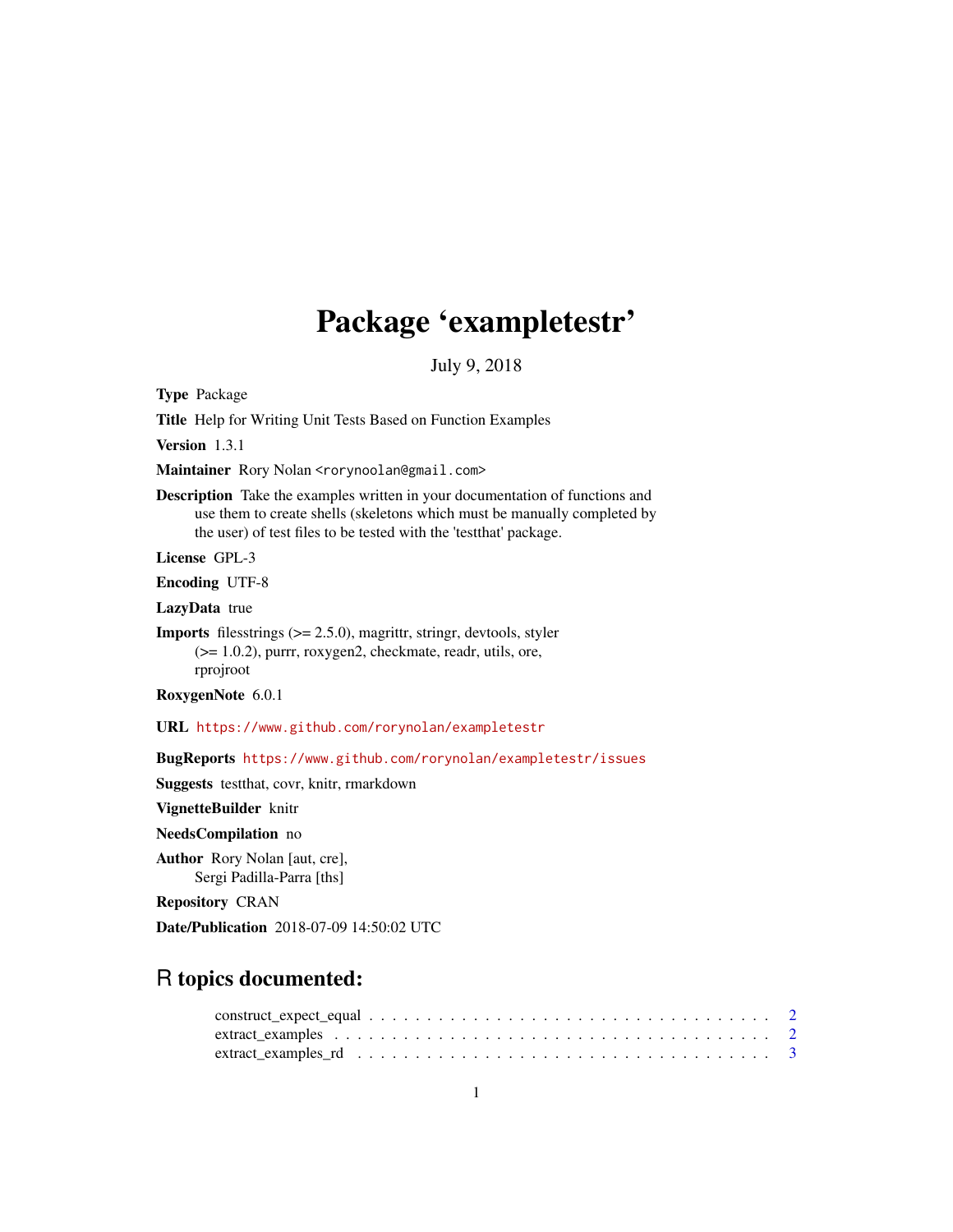## Package 'exampletestr'

July 9, 2018

<span id="page-0-0"></span>Type Package

Title Help for Writing Unit Tests Based on Function Examples

Version 1.3.1

Maintainer Rory Nolan <rorynoolan@gmail.com>

Description Take the examples written in your documentation of functions and use them to create shells (skeletons which must be manually completed by the user) of test files to be tested with the 'testthat' package.

License GPL-3

Encoding UTF-8

LazyData true

**Imports** filesstrings  $(>= 2.5.0)$ , magrittr, stringr, devtools, styler (>= 1.0.2), purrr, roxygen2, checkmate, readr, utils, ore, rprojroot

RoxygenNote 6.0.1

URL <https://www.github.com/rorynolan/exampletestr>

BugReports <https://www.github.com/rorynolan/exampletestr/issues>

Suggests testthat, covr, knitr, rmarkdown

VignetteBuilder knitr

NeedsCompilation no

Author Rory Nolan [aut, cre], Sergi Padilla-Parra [ths]

Repository CRAN

Date/Publication 2018-07-09 14:50:02 UTC

### R topics documented: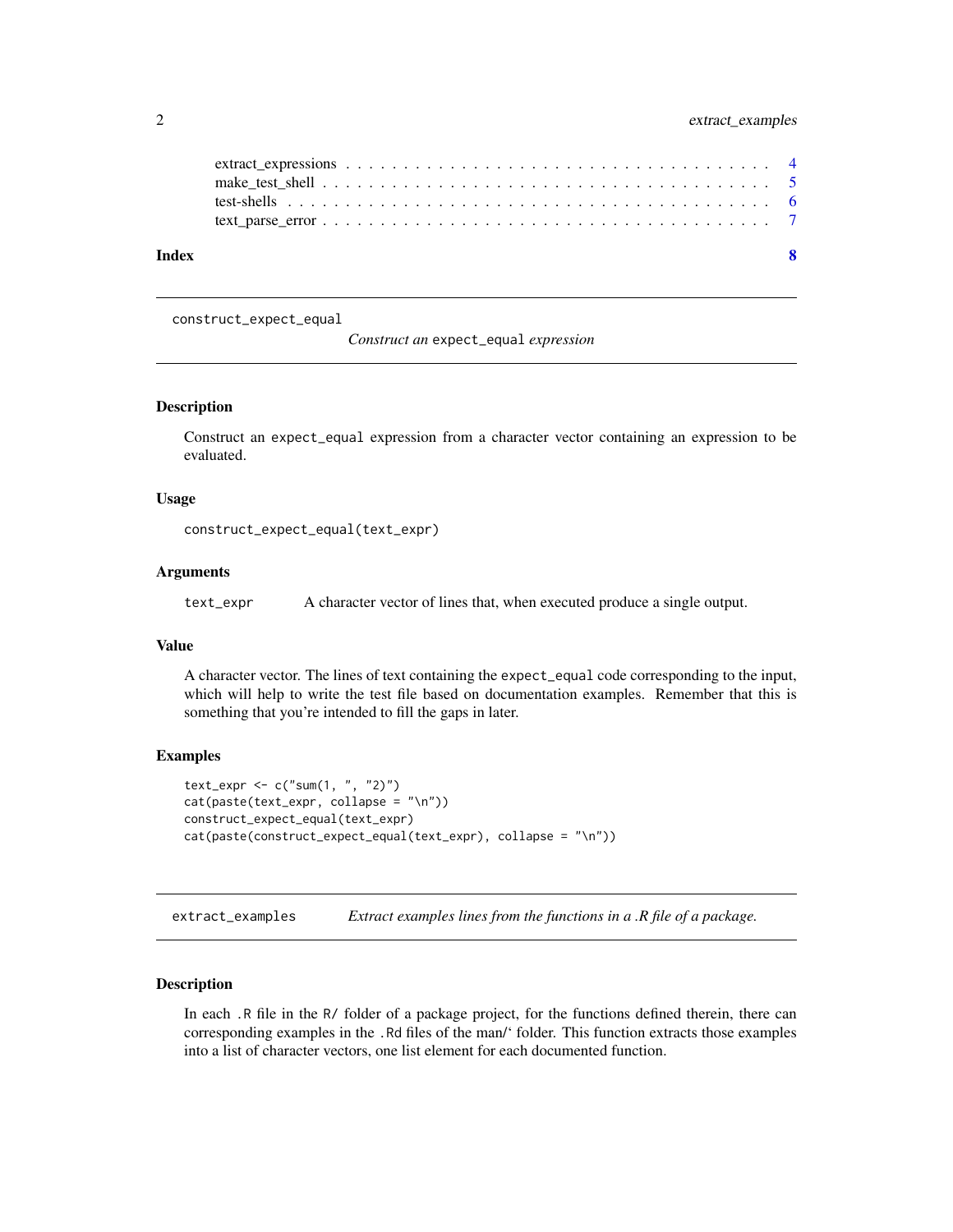<span id="page-1-0"></span>

| Index | $\mathbf{Q}$ |  |
|-------|--------------|--|
|       |              |  |
|       |              |  |
|       |              |  |
|       |              |  |

construct\_expect\_equal

*Construct an* expect\_equal *expression*

#### Description

Construct an expect\_equal expression from a character vector containing an expression to be evaluated.

#### Usage

```
construct_expect_equal(text_expr)
```
#### Arguments

text\_expr A character vector of lines that, when executed produce a single output.

#### Value

A character vector. The lines of text containing the expect\_equal code corresponding to the input, which will help to write the test file based on documentation examples. Remember that this is something that you're intended to fill the gaps in later.

#### Examples

```
text_expr <- c("sum(1, ", "2)")
cat(paste(text_expr, collapse = "\n"))
construct_expect_equal(text_expr)
cat(paste(construct_expect_equal(text_expr), collapse = "\n"))
```
extract\_examples *Extract examples lines from the functions in a .R file of a package.*

#### Description

In each .R file in the R/ folder of a package project, for the functions defined therein, there can corresponding examples in the .Rd files of the man/' folder. This function extracts those examples into a list of character vectors, one list element for each documented function.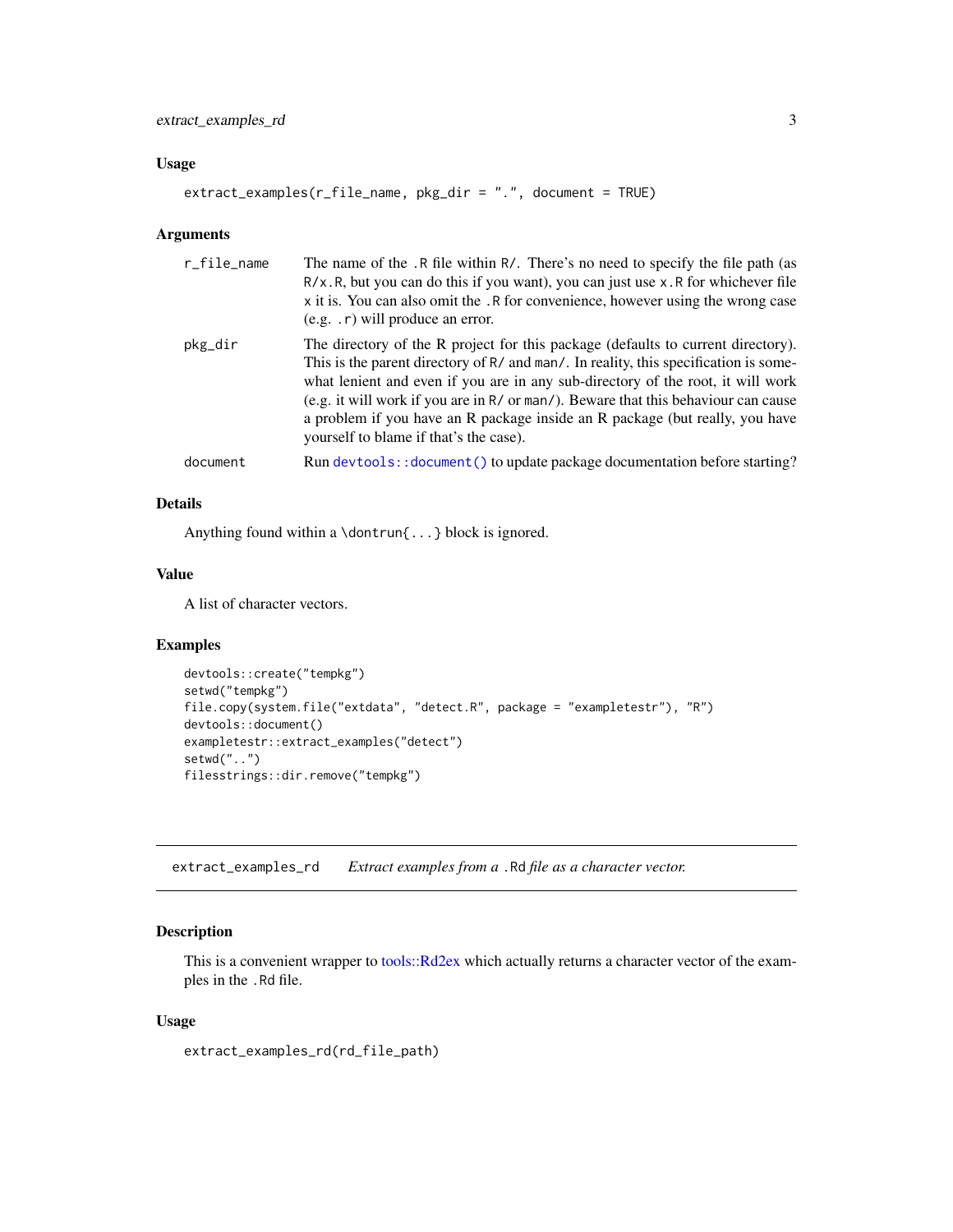#### <span id="page-2-0"></span>Usage

```
extract_examples(r_file_name, pkg_dir = ".", document = TRUE)
```
#### Arguments

| r_file_name | The name of the .R file within R/. There's no need to specify the file path (as<br>$R/x$ . R, but you can do this if you want), you can just use x. R for whichever file<br>x it is. You can also omit the . R for convenience, however using the wrong case<br>$(e.g. r)$ will produce an error.                                                                                                                                                                             |
|-------------|-------------------------------------------------------------------------------------------------------------------------------------------------------------------------------------------------------------------------------------------------------------------------------------------------------------------------------------------------------------------------------------------------------------------------------------------------------------------------------|
| pkg_dir     | The directory of the R project for this package (defaults to current directory).<br>This is the parent directory of R/ and man/. In reality, this specification is some-<br>what lenient and even if you are in any sub-directory of the root, it will work<br>(e.g. it will work if you are in $R/$ or man/). Beware that this behaviour can cause<br>a problem if you have an R package inside an R package (but really, you have<br>yourself to blame if that's the case). |
| document    | Run devtools:: document() to update package documentation before starting?                                                                                                                                                                                                                                                                                                                                                                                                    |

#### Details

Anything found within a \dontrun{...} block is ignored.

#### Value

A list of character vectors.

#### Examples

```
devtools::create("tempkg")
setwd("tempkg")
file.copy(system.file("extdata", "detect.R", package = "exampletestr"), "R")
devtools::document()
exampletestr::extract_examples("detect")
setwd("..")
filesstrings::dir.remove("tempkg")
```
extract\_examples\_rd *Extract examples from a* .Rd *file as a character vector.*

#### Description

This is a convenient wrapper to [tools::Rd2ex](#page-0-0) which actually returns a character vector of the examples in the .Rd file.

#### Usage

extract\_examples\_rd(rd\_file\_path)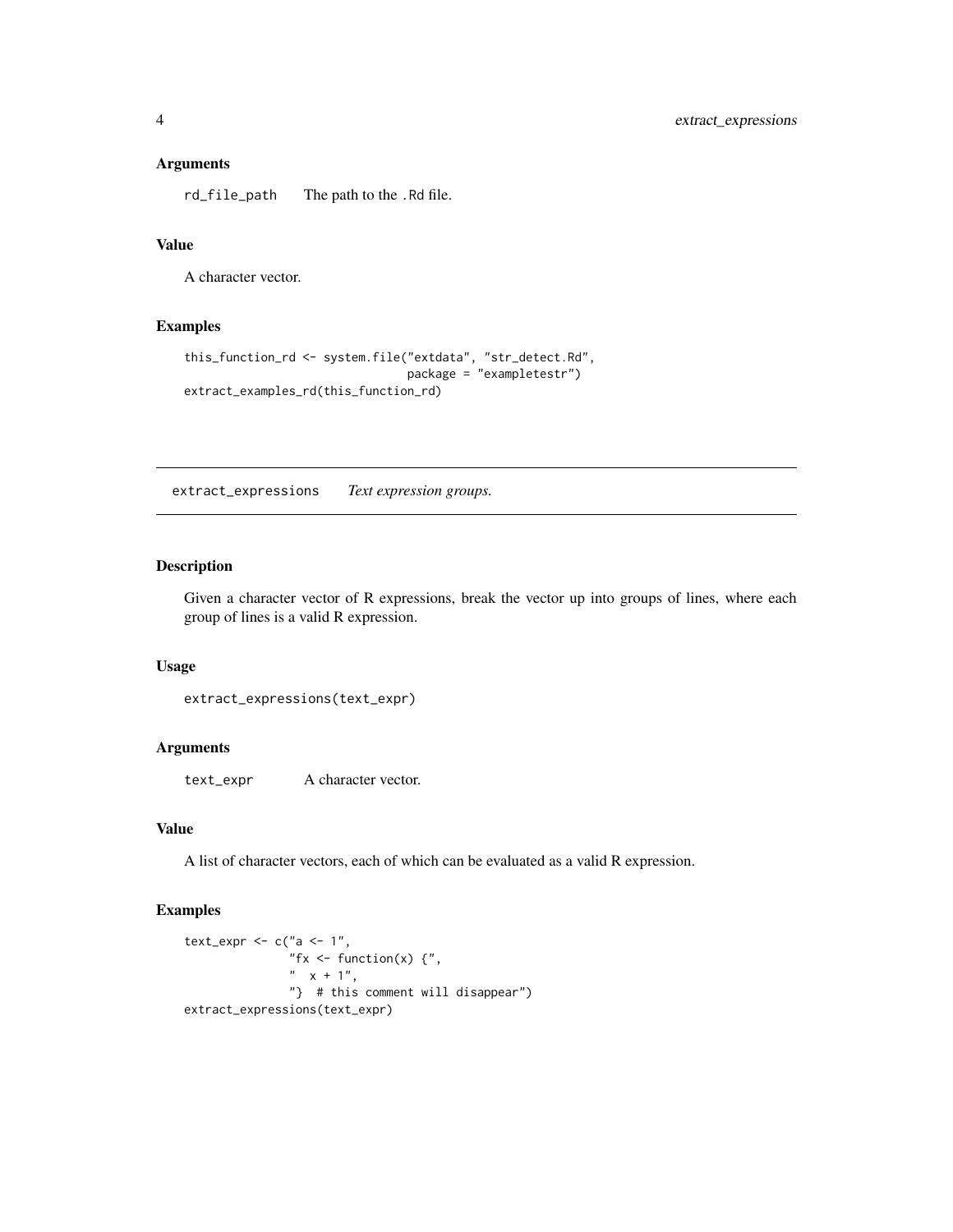#### <span id="page-3-0"></span>Arguments

rd\_file\_path The path to the .Rd file.

#### Value

A character vector.

#### Examples

```
this_function_rd <- system.file("extdata", "str_detect.Rd",
                                package = "exampletestr")
extract_examples_rd(this_function_rd)
```
extract\_expressions *Text expression groups.*

#### Description

Given a character vector of R expressions, break the vector up into groups of lines, where each group of lines is a valid R expression.

#### Usage

extract\_expressions(text\_expr)

#### Arguments

text\_expr A character vector.

#### Value

A list of character vectors, each of which can be evaluated as a valid R expression.

#### Examples

```
text_expr <- c("a <- 1","fx \leq function(x) {",
              " x + 1","} # this comment will disappear")
extract_expressions(text_expr)
```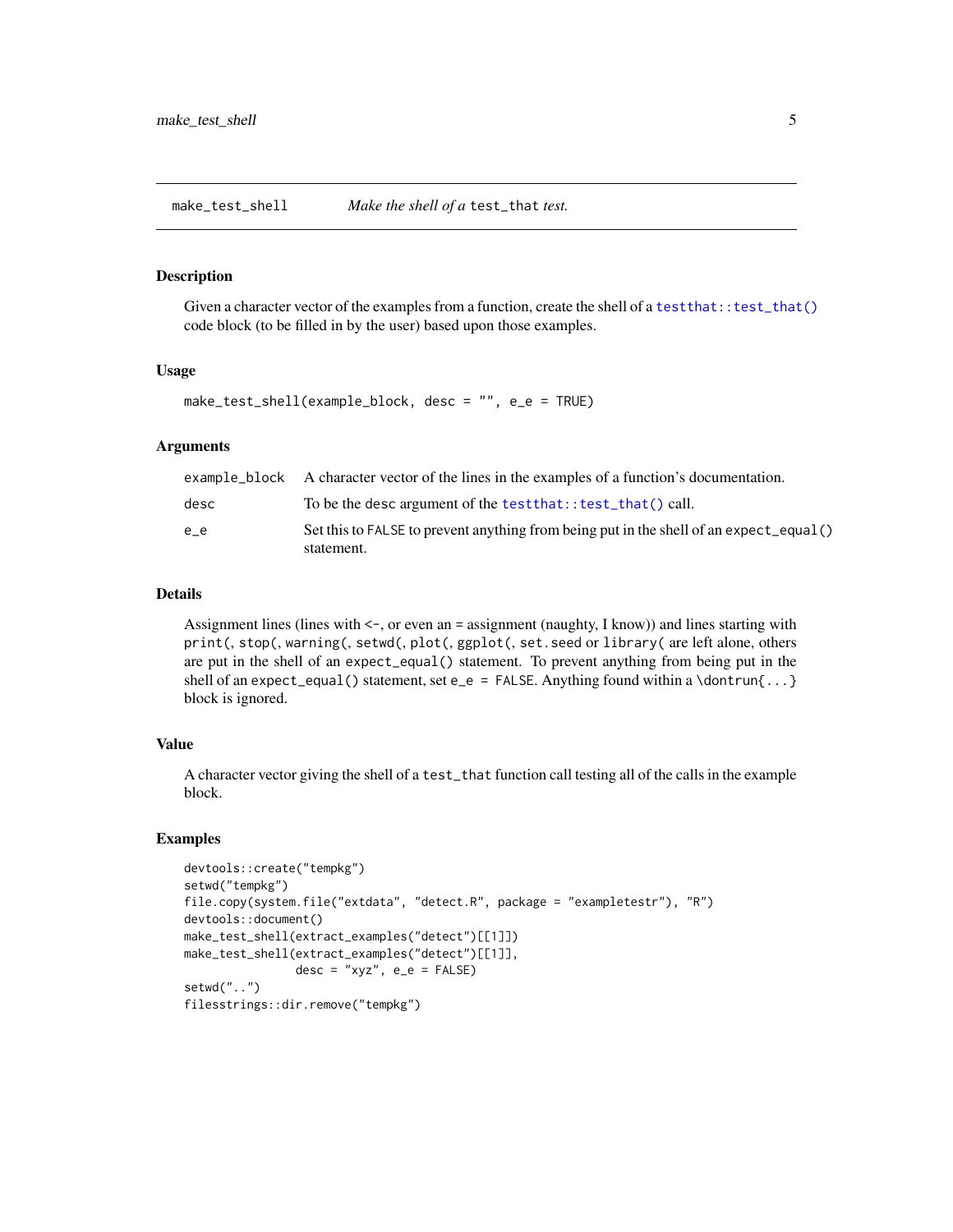<span id="page-4-0"></span>make\_test\_shell *Make the shell of a* test\_that *test.*

#### Description

Given a character vector of the examples from a function, create the shell of a test that::test\_that() code block (to be filled in by the user) based upon those examples.

#### Usage

```
make_test_shell(example_block, desc = "", e_e = TRUE)
```
#### Arguments

|      | example_block A character vector of the lines in the examples of a function's documentation.         |
|------|------------------------------------------------------------------------------------------------------|
| desc | To be the desc argument of the test that: : test_that() call.                                        |
| e e  | Set this to FALSE to prevent anything from being put in the shell of an expect_equal()<br>statement. |

#### Details

Assignment lines (lines with  $\lt\text{-}$ , or even an = assignment (naughty, I know)) and lines starting with print(, stop(, warning(, setwd(, plot(, ggplot(, set.seed or library( are left alone, others are put in the shell of an expect\_equal() statement. To prevent anything from being put in the shell of an expect\_equal() statement, set e\_e = FALSE. Anything found within a \dontrun{...} block is ignored.

#### Value

A character vector giving the shell of a test\_that function call testing all of the calls in the example block.

#### Examples

```
devtools::create("tempkg")
setwd("tempkg")
file.copy(system.file("extdata", "detect.R", package = "exampletestr"), "R")
devtools::document()
make_test_shell(extract_examples("detect")[[1]])
make_test_shell(extract_examples("detect")[[1]],
                desc = "xyz", e_e = FALSE)setwd("..")
filesstrings::dir.remove("tempkg")
```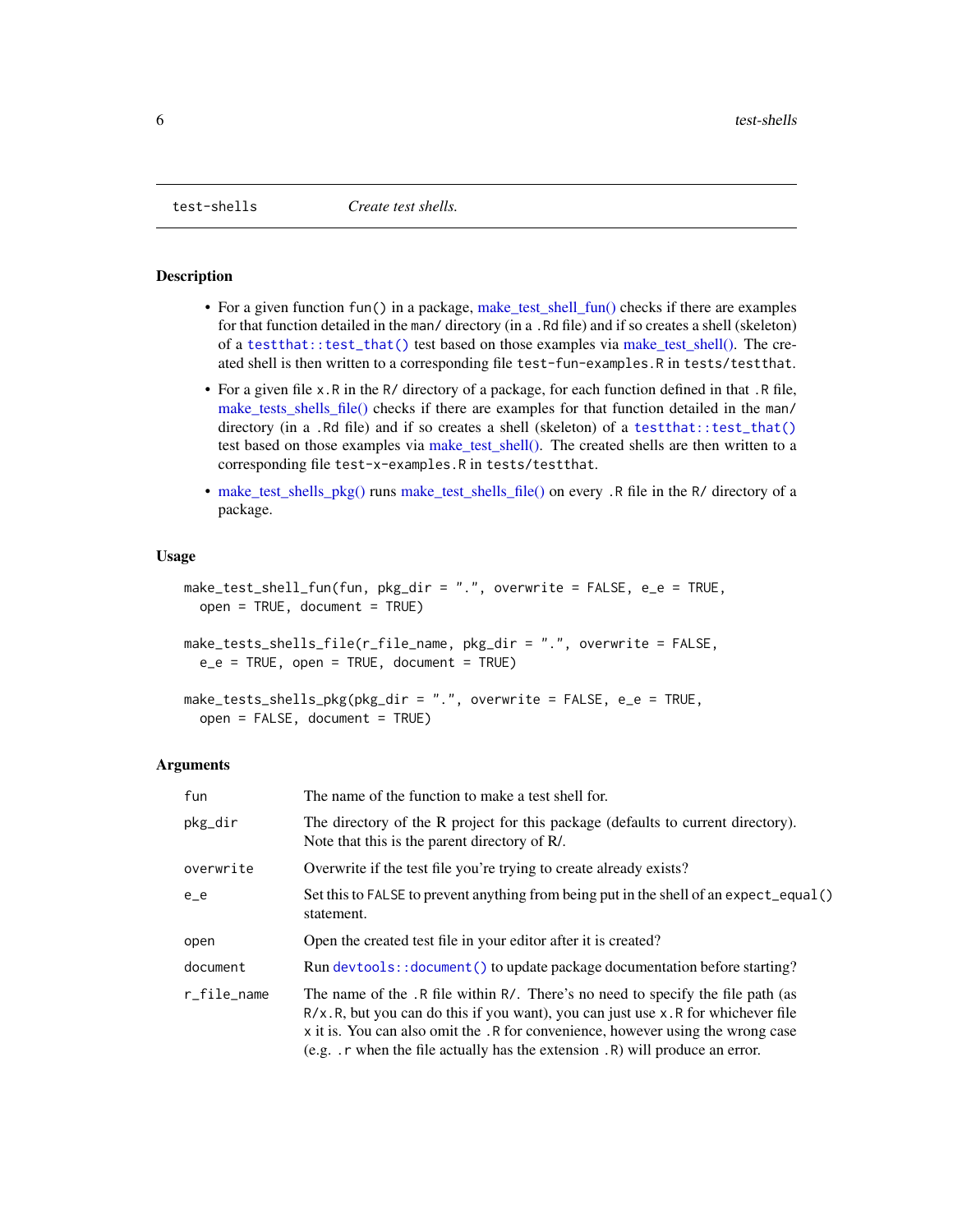<span id="page-5-1"></span><span id="page-5-0"></span>

#### **Description**

- For a given function fun() in a package, [make\\_test\\_shell\\_fun\(\)](#page-5-1) checks if there are examples for that function detailed in the man/ directory (in a .Rd file) and if so creates a shell (skeleton) of a [testthat::test\\_that\(\)](#page-0-0) test based on those examples via [make\\_test\\_shell\(\).](#page-5-1) The created shell is then written to a corresponding file test-fun-examples.R in tests/testthat.
- For a given file x.R in the R/ directory of a package, for each function defined in that .R file, [make\\_tests\\_shells\\_file\(\)](#page-5-1) checks if there are examples for that function detailed in the man/ directory (in a .Rd file) and if so creates a shell (skeleton) of a test that::test\_that() test based on those examples via [make\\_test\\_shell\(\).](#page-5-1) The created shells are then written to a corresponding file test-x-examples.R in tests/testthat.
- [make\\_test\\_shells\\_pkg\(\)](#page-5-1) runs [make\\_test\\_shells\\_file\(\)](#page-5-1) on every .R file in the R/ directory of a package.

#### Usage

```
make_test_shell_fun(fun, pkg_dir = ".", overwrite = FALSE, e_e = TRUE,
  open = TRUE, document = TRUE)
make_tests_shells_file(r_file_name, pkg_dir = ".", overwrite = FALSE,
```

```
e_e = TRUE, open = TRUE, document = TRUE)
```

```
make_tests_shells_pkg(pkg_dir = ".", overwrite = FALSE, e_e = TRUE,
  open = FALSE, document = TRUE)
```
#### Arguments

| fun         | The name of the function to make a test shell for.                                                                                                                                                                                                                                                                                                        |
|-------------|-----------------------------------------------------------------------------------------------------------------------------------------------------------------------------------------------------------------------------------------------------------------------------------------------------------------------------------------------------------|
| pkg_dir     | The directory of the R project for this package (defaults to current directory).<br>Note that this is the parent directory of R.                                                                                                                                                                                                                          |
| overwrite   | Overwrite if the test file you're trying to create already exists?                                                                                                                                                                                                                                                                                        |
| $e_e$       | Set this to FALSE to prevent anything from being put in the shell of an expect_equal()<br>statement.                                                                                                                                                                                                                                                      |
| open        | Open the created test file in your editor after it is created?                                                                                                                                                                                                                                                                                            |
| document    | Run devtools:: document () to update package documentation before starting?                                                                                                                                                                                                                                                                               |
| r_file_name | The name of the .R file within R/. There's no need to specify the file path (as<br>$R/x$ . R, but you can do this if you want), you can just use x. R for whichever file<br>x it is. You can also omit the .R for convenience, however using the wrong case<br>(e.g. $\cdot$ r when the file actually has the extension $\cdot$ R) will produce an error. |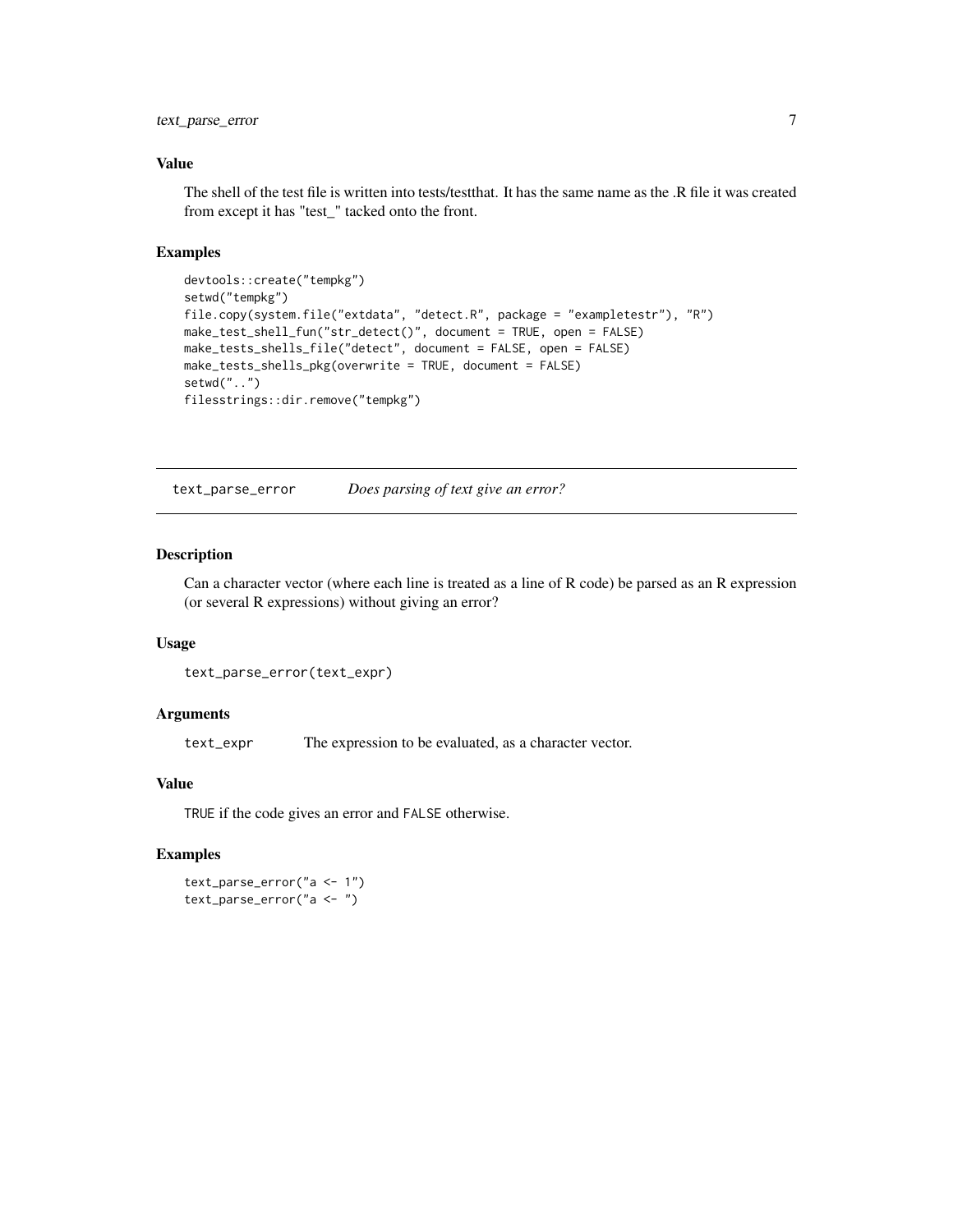#### <span id="page-6-0"></span>text\_parse\_error 7

#### Value

The shell of the test file is written into tests/testthat. It has the same name as the .R file it was created from except it has "test\_" tacked onto the front.

#### Examples

```
devtools::create("tempkg")
setwd("tempkg")
file.copy(system.file("extdata", "detect.R", package = "exampletestr"), "R")
make_test_shell_fun("str_detect()", document = TRUE, open = FALSE)
make_tests_shells_file("detect", document = FALSE, open = FALSE)
make_tests_shells_pkg(overwrite = TRUE, document = FALSE)
setwd("..")
filesstrings::dir.remove("tempkg")
```
text\_parse\_error *Does parsing of text give an error?*

#### Description

Can a character vector (where each line is treated as a line of R code) be parsed as an R expression (or several R expressions) without giving an error?

#### Usage

```
text_parse_error(text_expr)
```
#### **Arguments**

text\_expr The expression to be evaluated, as a character vector.

#### Value

TRUE if the code gives an error and FALSE otherwise.

#### Examples

text\_parse\_error("a <- 1") text\_parse\_error("a <- ")